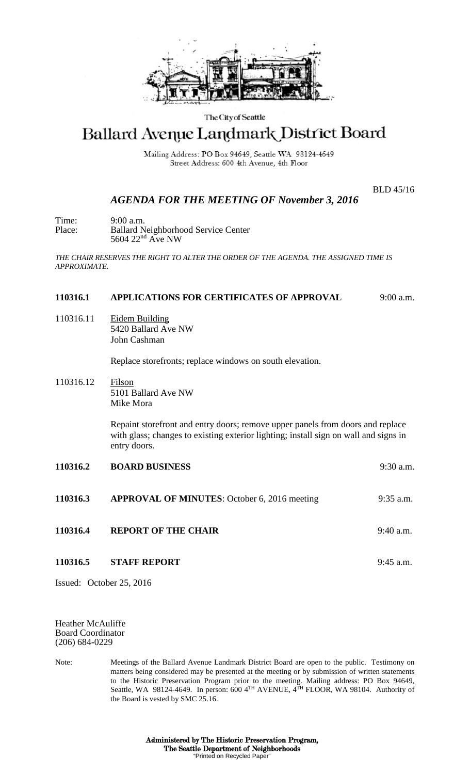

## The City of Seattle

# Ballard Avenue Landmark District Board

Mailing Address: PO Box 94649, Seattle WA 98124-4649 Street Address: 600 4th Avenue, 4th Floor

BLD 45/16

# *AGENDA FOR THE MEETING OF November 3, 2016*

Time: 9:00 a.m.<br>Place: Ballard N Ballard Neighborhood Service Center 5604 22<sup>nd</sup> Ave NW

*THE CHAIR RESERVES THE RIGHT TO ALTER THE ORDER OF THE AGENDA. THE ASSIGNED TIME IS APPROXIMATE.*

#### **110316.1 APPLICATIONS FOR CERTIFICATES OF APPROVAL** 9:00 a.m.

110316.11 Eidem Building 5420 Ballard Ave NW John Cashman

Replace storefronts; replace windows on south elevation.

110316.12 Filson 5101 Ballard Ave NW Mike Mora

> Repaint storefront and entry doors; remove upper panels from doors and replace with glass; changes to existing exterior lighting; install sign on wall and signs in entry doors.

- **110316.2 BOARD BUSINESS** 9:30 a.m. **110316.3 APPROVAL OF MINUTES**: October 6, 2016 meeting 9:35 a.m.
- **110316.4 REPORT OF THE CHAIR 9:40 a.m.**
- **110316.5 STAFF REPORT** 9:45 a.m.

Issued: October 25, 2016

Heather McAuliffe Board Coordinator (206) 684-0229

Note: Meetings of the Ballard Avenue Landmark District Board are open to the public. Testimony on matters being considered may be presented at the meeting or by submission of written statements to the Historic Preservation Program prior to the meeting. Mailing address: PO Box 94649, Seattle, WA 98124-4649. In person: 600 4TH AVENUE, 4TH FLOOR, WA 98104. Authority of the Board is vested by SMC 25.16.